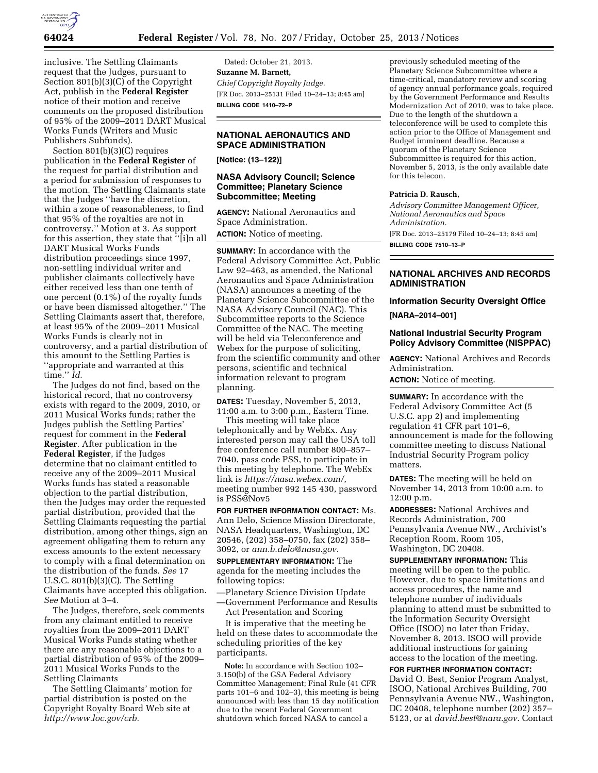

inclusive. The Settling Claimants request that the Judges, pursuant to Section 801(b)(3)(C) of the Copyright Act, publish in the **Federal Register**  notice of their motion and receive comments on the proposed distribution of 95% of the 2009–2011 DART Musical Works Funds (Writers and Music Publishers Subfunds).

Section 801(b)(3)(C) requires publication in the **Federal Register** of the request for partial distribution and a period for submission of responses to the motion. The Settling Claimants state that the Judges ''have the discretion, within a zone of reasonableness, to find that 95% of the royalties are not in controversy.'' Motion at 3. As support for this assertion, they state that ''[i]n all DART Musical Works Funds distribution proceedings since 1997, non-settling individual writer and publisher claimants collectively have either received less than one tenth of one percent (0.1%) of the royalty funds or have been dismissed altogether.'' The Settling Claimants assert that, therefore, at least 95% of the 2009–2011 Musical Works Funds is clearly not in controversy, and a partial distribution of this amount to the Settling Parties is ''appropriate and warranted at this time.'' *Id.* 

The Judges do not find, based on the historical record, that no controversy exists with regard to the 2009, 2010, or 2011 Musical Works funds; rather the Judges publish the Settling Parties' request for comment in the **Federal Register**. After publication in the **Federal Register**, if the Judges determine that no claimant entitled to receive any of the 2009–2011 Musical Works funds has stated a reasonable objection to the partial distribution, then the Judges may order the requested partial distribution, provided that the Settling Claimants requesting the partial distribution, among other things, sign an agreement obligating them to return any excess amounts to the extent necessary to comply with a final determination on the distribution of the funds. *See* 17 U.S.C. 801(b)(3)(C). The Settling Claimants have accepted this obligation. *See* Motion at 3–4.

The Judges, therefore, seek comments from any claimant entitled to receive royalties from the 2009–2011 DART Musical Works Funds stating whether there are any reasonable objections to a partial distribution of 95% of the 2009– 2011 Musical Works Funds to the Settling Claimants

The Settling Claimants' motion for partial distribution is posted on the Copyright Royalty Board Web site at *[http://www.loc.gov/crb.](http://www.loc.gov/crb)* 

Dated: October 21, 2013. **Suzanne M. Barnett,**  *Chief Copyright Royalty Judge.*  [FR Doc. 2013–25131 Filed 10–24–13; 8:45 am] **BILLING CODE 1410–72–P** 

# **NATIONAL AERONAUTICS AND SPACE ADMINISTRATION**

**[Notice: (13–122)]** 

## **NASA Advisory Council; Science Committee; Planetary Science Subcommittee; Meeting**

**AGENCY:** National Aeronautics and Space Administration.

**ACTION:** Notice of meeting.

**SUMMARY:** In accordance with the Federal Advisory Committee Act, Public Law 92–463, as amended, the National Aeronautics and Space Administration (NASA) announces a meeting of the Planetary Science Subcommittee of the NASA Advisory Council (NAC). This Subcommittee reports to the Science Committee of the NAC. The meeting will be held via Teleconference and Webex for the purpose of soliciting, from the scientific community and other persons, scientific and technical information relevant to program planning.

**DATES:** Tuesday, November 5, 2013, 11:00 a.m. to 3:00 p.m., Eastern Time.

This meeting will take place telephonically and by WebEx. Any interested person may call the USA toll free conference call number 800–857– 7040, pass code PSS, to participate in this meeting by telephone. The WebEx link is *<https://nasa.webex.com/>*, meeting number 992 145 430, password is PSS@Nov5

**FOR FURTHER INFORMATION CONTACT:** Ms. Ann Delo, Science Mission Directorate, NASA Headquarters, Washington, DC 20546, (202) 358–0750, fax (202) 358– 3092, or *[ann.b.delo@nasa.gov](mailto:ann.b.delo@nasa.gov)*.

**SUPPLEMENTARY INFORMATION:** The agenda for the meeting includes the following topics:

—Planetary Science Division Update —Government Performance and Results

Act Presentation and Scoring

It is imperative that the meeting be held on these dates to accommodate the scheduling priorities of the key participants.

**Note:** In accordance with Section 102– 3.150(b) of the GSA Federal Advisory Committee Management; Final Rule (41 CFR parts 101–6 and 102–3), this meeting is being announced with less than 15 day notification due to the recent Federal Government shutdown which forced NASA to cancel a

previously scheduled meeting of the Planetary Science Subcommittee where a time-critical, mandatory review and scoring of agency annual performance goals, required by the Government Performance and Results Modernization Act of 2010, was to take place. Due to the length of the shutdown a teleconference will be used to complete this action prior to the Office of Management and Budget imminent deadline. Because a quorum of the Planetary Science Subcommittee is required for this action, November 5, 2013, is the only available date for this telecon.

#### **Patricia D. Rausch,**

*Advisory Committee Management Officer, National Aeronautics and Space Administration.*  [FR Doc. 2013–25179 Filed 10–24–13; 8:45 am] **BILLING CODE 7510–13–P** 

# **NATIONAL ARCHIVES AND RECORDS ADMINISTRATION**

#### **Information Security Oversight Office**

**[NARA–2014–001]** 

### **National Industrial Security Program Policy Advisory Committee (NISPPAC)**

**AGENCY:** National Archives and Records Administration.

**ACTION:** Notice of meeting.

**SUMMARY:** In accordance with the Federal Advisory Committee Act (5 U.S.C. app 2) and implementing regulation 41 CFR part 101–6, announcement is made for the following committee meeting to discuss National Industrial Security Program policy matters.

**DATES:** The meeting will be held on November 14, 2013 from 10:00 a.m. to 12:00 p.m.

**ADDRESSES:** National Archives and Records Administration, 700 Pennsylvania Avenue NW., Archivist's Reception Room, Room 105, Washington, DC 20408.

**SUPPLEMENTARY INFORMATION:** This meeting will be open to the public. However, due to space limitations and access procedures, the name and telephone number of individuals planning to attend must be submitted to the Information Security Oversight Office (ISOO) no later than Friday, November 8, 2013. ISOO will provide additional instructions for gaining access to the location of the meeting.

**FOR FURTHER INFORMATION CONTACT:**  David O. Best, Senior Program Analyst, ISOO, National Archives Building, 700 Pennsylvania Avenue NW., Washington, DC 20408, telephone number (202) 357– 5123, or at *[david.best@nara.gov](mailto:david.best@nara.gov)*. Contact